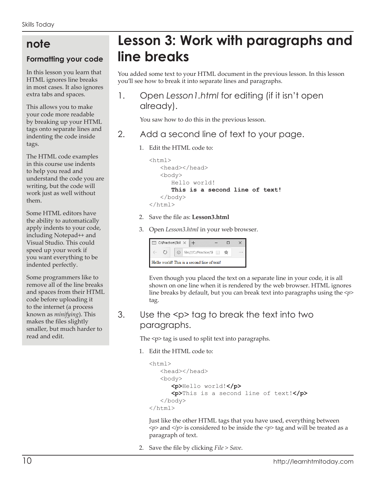# **note**

#### **Formatting your code**

In this lesson you learn that HTML ignores line breaks in most cases. It also ignores extra tabs and spaces.

This allows you to make your code more readable by breaking up your HTML tags onto separate lines and indenting the code inside tags.

The HTML code examples in this course use indents to help you read and understand the code you are writing, but the code will work just as well without them.

Some HTML editors have the ability to automatically apply indents to your code, including Notepad++ and Visual Studio. This could speed up your work if you want everything to be indented perfectly.

Some programmers like to remove all of the line breaks and spaces from their HTML code before uploading it to the internet (a process known as *minifying*). This makes the files slightly smaller, but much harder to read and edit.

# **Lesson 3: Work with paragraphs and line breaks**

You added some text to your HTML document in the previous lesson. In this lesson you'll see how to break it into separate lines and paragraphs.

1. Open *Lesson1.html* for editing (if it isn't open already).

You saw how to do this in the previous lesson.

- 2. Add a second line of text to your page.
	- 1. Edit the HTML code to:

```
<html>
    <head></head>
    <body>
       Hello world!
       This is a second line of text!
    </body>
</html>
```
- 2. Save the file as: **Lesson3.html**
- 3. Open *Lesson3.html* in your web browser.

|                                             |  | C:\Practice\Skil $\times$ + |  |                            |  |  |  |  |  |
|---------------------------------------------|--|-----------------------------|--|----------------------------|--|--|--|--|--|
|                                             |  |                             |  | ① file:///C:/Practice/Sl □ |  |  |  |  |  |
| Hello world! This is a second line of text! |  |                             |  |                            |  |  |  |  |  |

Even though you placed the text on a separate line in your code, it is all shown on one line when it is rendered by the web browser. HTML ignores line breaks by default, but you can break text into paragraphs using the *<p>* tag.

3. Use the <p> tag to break the text into two paragraphs.

The <p> tag is used to split text into paragraphs.

1. Edit the HTML code to:

```
<html> <head></head>
    <body>
       <p>Hello world!</p>
       <p>This is a second line of text!</p>
    </body>
</html>
```
Just like the other HTML tags that you have used, everything between *<p>* and *</p>* is considered to be inside the *<p>* tag and will be treated as a paragraph of text.

2. Save the file by clicking *File > Save*.